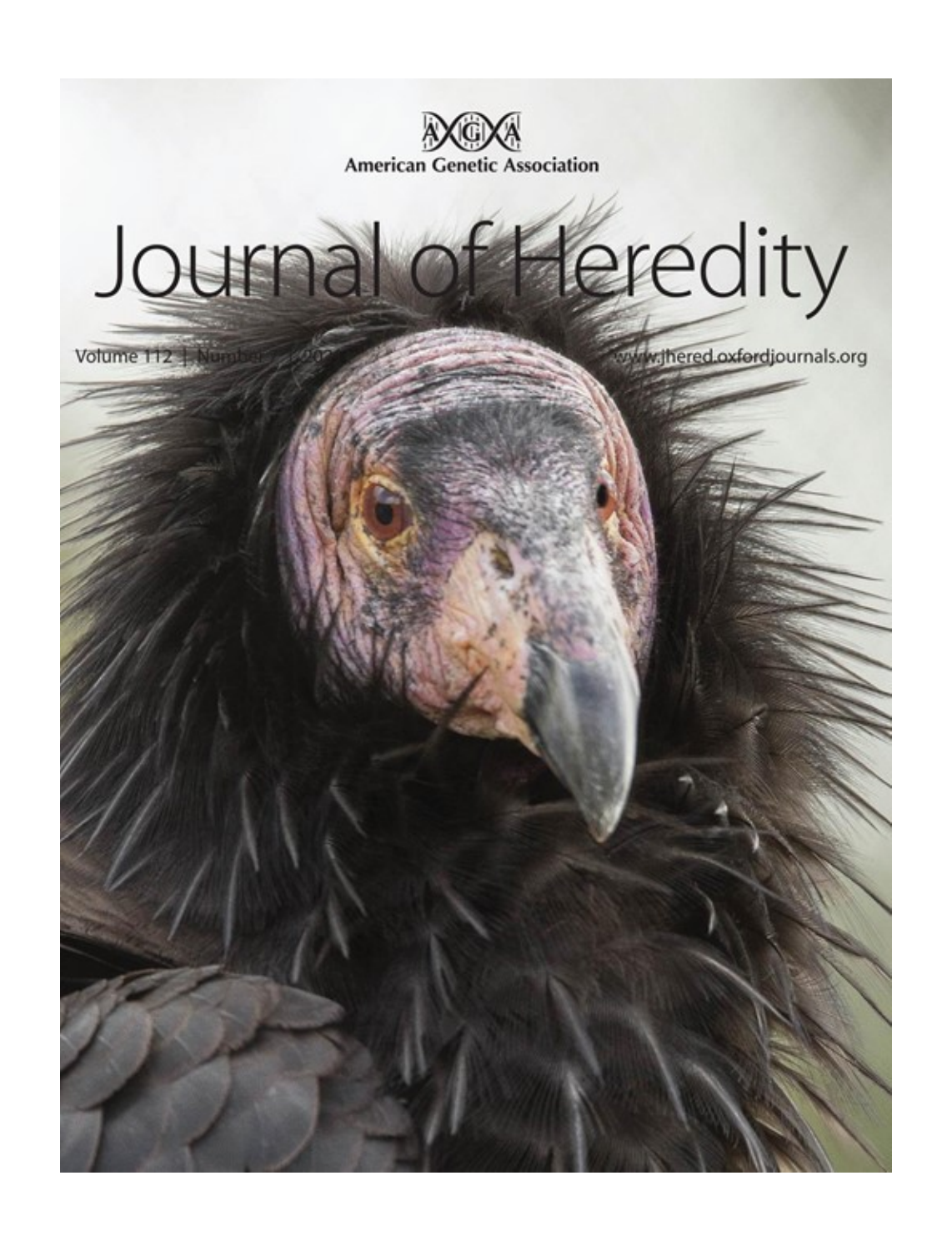

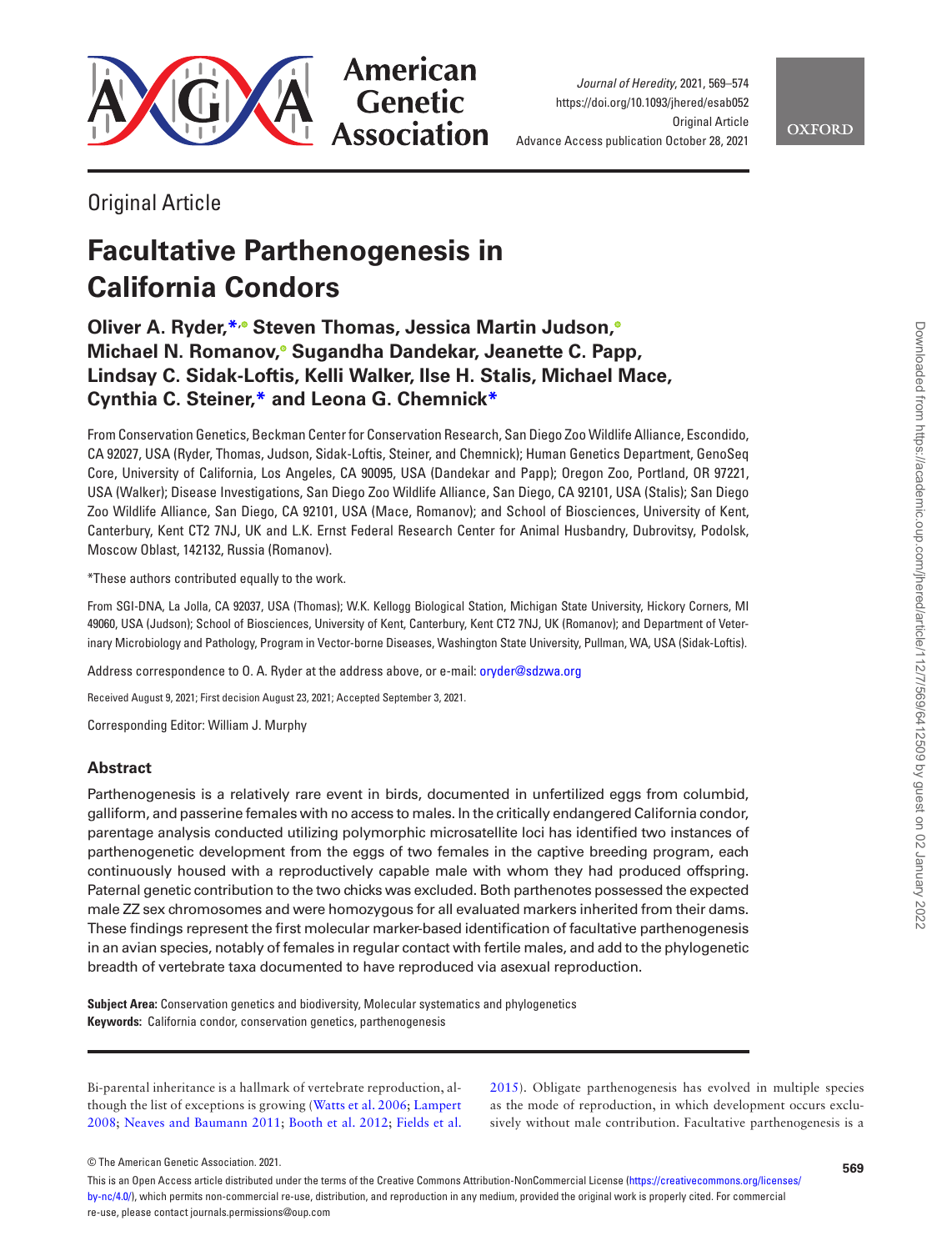

American **Genetic Association** 

*Journal of Heredity*, 2021, 569–574 <https://doi.org/10.1093/jhered/esab052> **Original Article** Advance Access publication October 28, 2021

## **OXFORD**

Original Article

# **Facultative Parthenogenesis in California Condors**

### **Oliver A. Ryder[,\\*](#page-1-0)[,](https://orcid.org/0000-0003-2427-763X) Steven Thomas, Jessica Martin Judson[,](https://orcid.org/0000-0002-0137-654X) Michael N. Romanov[,](https://orcid.org/0000-0003-3584-4644) Sugandha Dandekar, Jeanette C. Papp, Lindsay C. Sidak-Loftis, Kelli Walker, Ilse H. Stalis, Michael Mace, Cynthia C. Steiner,[\\*](#page-1-0) and Leona G. Chemnic[k\\*](#page-1-0)**

From Conservation Genetics, Beckman Center for Conservation Research, San Diego Zoo Wildlife Alliance, Escondido, CA 92027, USA (Ryder, Thomas, Judson, Sidak-Loftis, Steiner, and Chemnick); Human Genetics Department, GenoSeq Core, University of California, Los Angeles, CA 90095, USA (Dandekar and Papp); Oregon Zoo, Portland, OR 97221, USA (Walker); Disease Investigations, San Diego Zoo Wildlife Alliance, San Diego, CA 92101, USA (Stalis); San Diego Zoo Wildlife Alliance, San Diego, CA 92101, USA (Mace, Romanov); and School of Biosciences, University of Kent, Canterbury, Kent CT2 7NJ, UK and L.K. Ernst Federal Research Center for Animal Husbandry, Dubrovitsy, Podolsk, Moscow Oblast, 142132, Russia (Romanov).

<span id="page-1-0"></span>\*These authors contributed equally to the work.

From SGI-DNA, La Jolla, CA 92037, USA (Thomas); W.K. Kellogg Biological Station, Michigan State University, Hickory Corners, MI 49060, USA (Judson); School of Biosciences, University of Kent, Canterbury, Kent CT2 7NJ, UK (Romanov); and Department of Veterinary Microbiology and Pathology, Program in Vector-borne Diseases, Washington State University, Pullman, WA, USA (Sidak-Loftis).

Address correspondence to O. A. Ryder at the address above, or e-mail: [oryder@sdzwa.org](mailto:oryder@sdzwa.org?subject=)

Received August 9, 2021; First decision August 23, 2021; Accepted September 3, 2021.

Corresponding Editor: William J. Murphy

#### **Abstract**

Parthenogenesis is a relatively rare event in birds, documented in unfertilized eggs from columbid, galliform, and passerine females with no access to males. In the critically endangered California condor, parentage analysis conducted utilizing polymorphic microsatellite loci has identified two instances of parthenogenetic development from the eggs of two females in the captive breeding program, each continuously housed with a reproductively capable male with whom they had produced offspring. Paternal genetic contribution to the two chicks was excluded. Both parthenotes possessed the expected male ZZ sex chromosomes and were homozygous for all evaluated markers inherited from their dams. These findings represent the first molecular marker-based identification of facultative parthenogenesis in an avian species, notably of females in regular contact with fertile males, and add to the phylogenetic breadth of vertebrate taxa documented to have reproduced via asexual reproduction.

**Subject Area:** Conservation genetics and biodiversity, Molecular systematics and phylogenetics **Keywords:** California condor, conservation genetics, parthenogenesis

Bi-parental inheritance is a hallmark of vertebrate reproduction, although the list of exceptions is growing ([Watts et al. 2006;](#page-6-0) [Lampert](#page-5-0)  [2008;](#page-5-0) [Neaves and Baumann 2011;](#page-5-1) [Booth et al. 2012](#page-5-2); [Fields et al.](#page-5-3)  [2015\)](#page-5-3). Obligate parthenogenesis has evolved in multiple species as the mode of reproduction, in which development occurs exclusively without male contribution. Facultative parthenogenesis is a

© The American Genetic Association. 2021.

This is an Open Access article distributed under the terms of the Creative Commons Attribution-NonCommercial License ([https://creativecommons.org/licenses/](https://creativecommons.org/licenses/by-nc/4.0/) [by-nc/4.0/](https://creativecommons.org/licenses/by-nc/4.0/)), which permits non-commercial re-use, distribution, and reproduction in any medium, provided the original work is properly cited. For commercial re-use, please contact journals.permissions@oup.com

**569**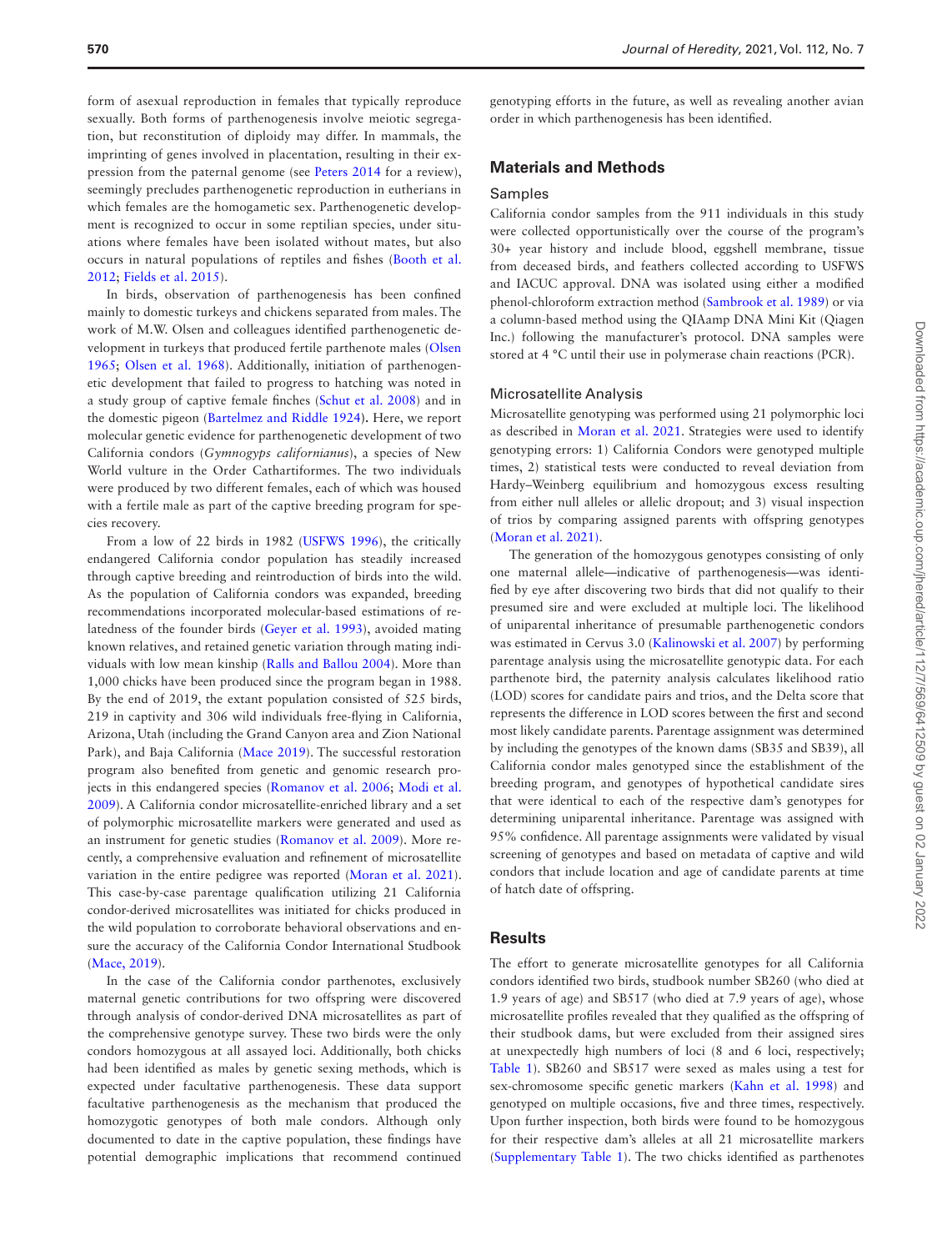form of asexual reproduction in females that typically reproduce sexually. Both forms of parthenogenesis involve meiotic segregation, but reconstitution of diploidy may differ. In mammals, the imprinting of genes involved in placentation, resulting in their expression from the paternal genome (see [Peters 2014](#page-5-4) for a review), seemingly precludes parthenogenetic reproduction in eutherians in which females are the homogametic sex. Parthenogenetic development is recognized to occur in some reptilian species, under situations where females have been isolated without mates, but also occurs in natural populations of reptiles and fishes ([Booth et al.](#page-5-2)  [2012;](#page-5-2) [Fields et al. 2015\)](#page-5-3).

In birds, observation of parthenogenesis has been confined mainly to domestic turkeys and chickens separated from males. The work of M.W. Olsen and colleagues identified parthenogenetic development in turkeys that produced fertile parthenote males [\(Olsen](#page-5-5)  [1965;](#page-5-5) [Olsen et al. 1968\)](#page-5-6). Additionally, initiation of parthenogenetic development that failed to progress to hatching was noted in a study group of captive female finches ([Schut et al. 2008](#page-6-1)) and in the domestic pigeon ([Bartelmez and Riddle 1924](#page-5-7)**).** Here, we report molecular genetic evidence for parthenogenetic development of two California condors (*Gymnogyps californianus*), a species of New World vulture in the Order Cathartiformes. The two individuals were produced by two different females, each of which was housed with a fertile male as part of the captive breeding program for species recovery.

From a low of 22 birds in 1982 ([USFWS 1996\)](#page-6-2), the critically endangered California condor population has steadily increased through captive breeding and reintroduction of birds into the wild. As the population of California condors was expanded, breeding recommendations incorporated molecular-based estimations of relatedness of the founder birds [\(Geyer et al. 1993\)](#page-5-8), avoided mating known relatives, and retained genetic variation through mating individuals with low mean kinship ([Ralls and Ballou 2004](#page-5-9)). More than 1,000 chicks have been produced since the program began in 1988. By the end of 2019, the extant population consisted of 525 birds, 219 in captivity and 306 wild individuals free-flying in California, Arizona, Utah (including the Grand Canyon area and Zion National Park), and Baja California ([Mace 2019](#page-5-10)). The successful restoration program also benefited from genetic and genomic research projects in this endangered species [\(Romanov et al. 2006](#page-6-3); [Modi et al.](#page-5-11)  [2009](#page-5-11)). A California condor microsatellite-enriched library and a set of polymorphic microsatellite markers were generated and used as an instrument for genetic studies [\(Romanov et al. 2009\)](#page-6-4). More recently, a comprehensive evaluation and refinement of microsatellite variation in the entire pedigree was reported ([Moran et al. 2021](#page-5-12)). This case-by-case parentage qualification utilizing 21 California condor-derived microsatellites was initiated for chicks produced in the wild population to corroborate behavioral observations and ensure the accuracy of the California Condor International Studbook [\(Mace, 2019\)](#page-5-10).

In the case of the California condor parthenotes, exclusively maternal genetic contributions for two offspring were discovered through analysis of condor-derived DNA microsatellites as part of the comprehensive genotype survey. These two birds were the only condors homozygous at all assayed loci. Additionally, both chicks had been identified as males by genetic sexing methods, which is expected under facultative parthenogenesis. These data support facultative parthenogenesis as the mechanism that produced the homozygotic genotypes of both male condors. Although only documented to date in the captive population, these findings have potential demographic implications that recommend continued genotyping efforts in the future, as well as revealing another avian order in which parthenogenesis has been identified.

#### **Materials and Methods**

#### Samples

California condor samples from the 911 individuals in this study were collected opportunistically over the course of the program's 30+ year history and include blood, eggshell membrane, tissue from deceased birds, and feathers collected according to USFWS and IACUC approval. DNA was isolated using either a modified phenol-chloroform extraction method [\(Sambrook et al. 1989](#page-6-5)) or via a column-based method using the QIAamp DNA Mini Kit (Qiagen Inc.) following the manufacturer's protocol. DNA samples were stored at 4 °C until their use in polymerase chain reactions (PCR).

#### Microsatellite Analysis

Microsatellite genotyping was performed using 21 polymorphic loci as described in [Moran et al. 2021](#page-5-12). Strategies were used to identify genotyping errors: 1) California Condors were genotyped multiple times, 2) statistical tests were conducted to reveal deviation from Hardy–Weinberg equilibrium and homozygous excess resulting from either null alleles or allelic dropout; and 3) visual inspection of trios by comparing assigned parents with offspring genotypes [\(Moran et al. 2021\).](#page-5-12)

The generation of the homozygous genotypes consisting of only one maternal allele—indicative of parthenogenesis—was identified by eye after discovering two birds that did not qualify to their presumed sire and were excluded at multiple loci. The likelihood of uniparental inheritance of presumable parthenogenetic condors was estimated in Cervus 3.0 [\(Kalinowski et al. 2007](#page-5-13)) by performing parentage analysis using the microsatellite genotypic data. For each parthenote bird, the paternity analysis calculates likelihood ratio (LOD) scores for candidate pairs and trios, and the Delta score that represents the difference in LOD scores between the first and second most likely candidate parents. Parentage assignment was determined by including the genotypes of the known dams (SB35 and SB39), all California condor males genotyped since the establishment of the breeding program, and genotypes of hypothetical candidate sires that were identical to each of the respective dam's genotypes for determining uniparental inheritance. Parentage was assigned with 95% confidence. All parentage assignments were validated by visual screening of genotypes and based on metadata of captive and wild condors that include location and age of candidate parents at time of hatch date of offspring.

#### **Results**

The effort to generate microsatellite genotypes for all California condors identified two birds, studbook number SB260 (who died at 1.9 years of age) and SB517 (who died at 7.9 years of age), whose microsatellite profiles revealed that they qualified as the offspring of their studbook dams, but were excluded from their assigned sires at unexpectedly high numbers of loci (8 and 6 loci, respectively; [Table 1](#page-3-0)). SB260 and SB517 were sexed as males using a test for sex-chromosome specific genetic markers [\(Kahn et al. 1998](#page-5-14)) and genotyped on multiple occasions, five and three times, respectively. Upon further inspection, both birds were found to be homozygous for their respective dam's alleles at all 21 microsatellite markers [\(Supplementary Table 1](http://academic.oup.com/jhered/article-lookup/doi/10.1093/jhered/esab052#supplementary-data)). The two chicks identified as parthenotes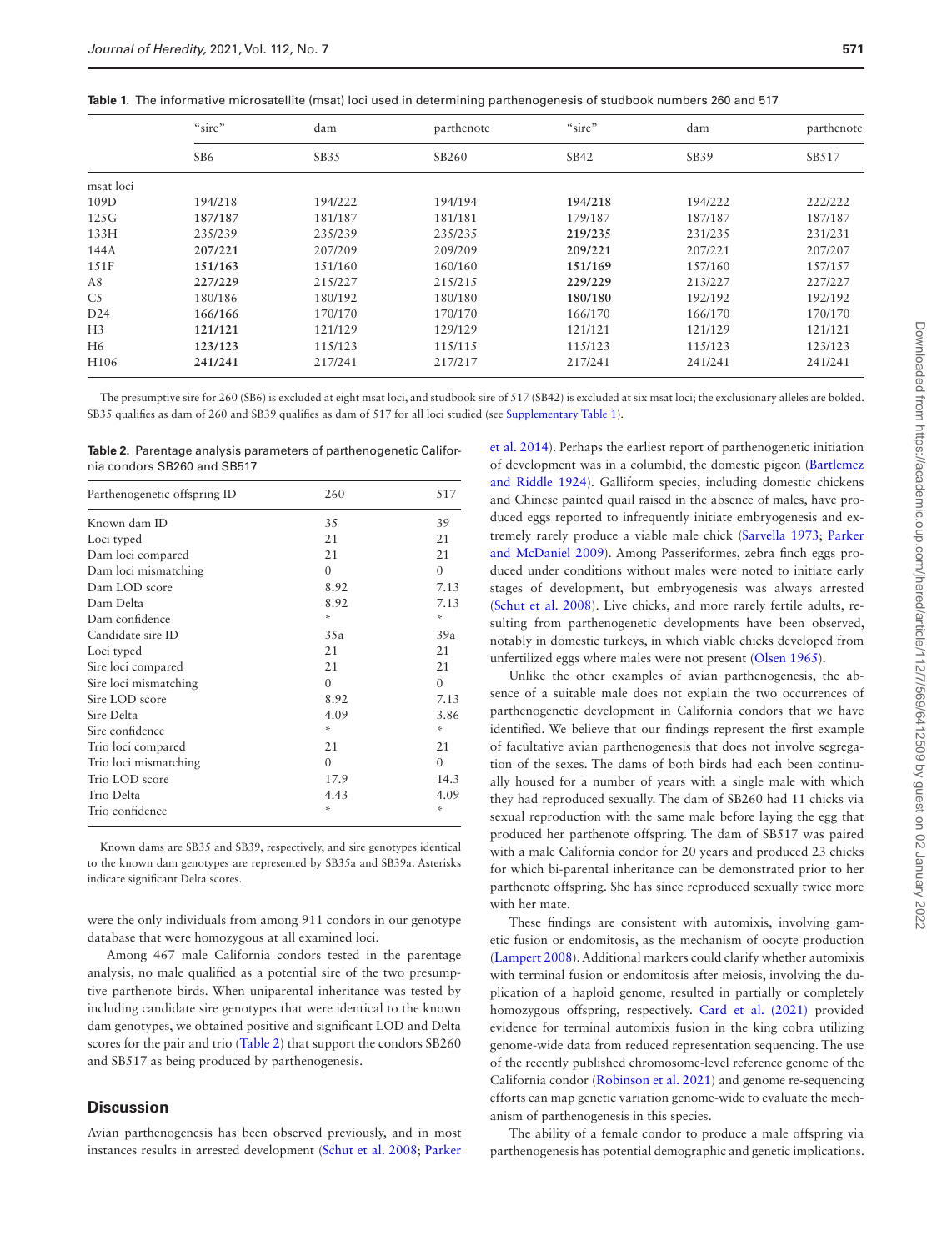<span id="page-3-0"></span>

|  |  |  | <b>Table 1.</b> The informative microsatellite (msat) loci used in determining parthenogenesis of studbook numbers 260 and 517 |  |  |  |  |  |  |  |  |  |  |  |  |
|--|--|--|--------------------------------------------------------------------------------------------------------------------------------|--|--|--|--|--|--|--|--|--|--|--|--|
|--|--|--|--------------------------------------------------------------------------------------------------------------------------------|--|--|--|--|--|--|--|--|--|--|--|--|

|                  | "sire"          | dam     | parthenote | "sire"  | dam     | parthenote |  |
|------------------|-----------------|---------|------------|---------|---------|------------|--|
|                  | SB <sub>6</sub> | SB35    | SB260      | SB42    | SB39    | SB517      |  |
| msat loci        |                 |         |            |         |         |            |  |
| 109D             | 194/218         | 194/222 | 194/194    | 194/218 | 194/222 | 222/222    |  |
| 125G             | 187/187         | 181/187 | 181/181    | 179/187 | 187/187 | 187/187    |  |
| 133H             | 235/239         | 235/239 | 235/235    | 219/235 | 231/235 | 231/231    |  |
| 144A             | 207/221         | 207/209 | 209/209    | 209/221 | 207/221 | 207/207    |  |
| 151F             | 151/163         | 151/160 | 160/160    | 151/169 | 157/160 | 157/157    |  |
| A8               | 227/229         | 215/227 | 215/215    | 229/229 | 213/227 | 227/227    |  |
| C <sub>5</sub>   | 180/186         | 180/192 | 180/180    | 180/180 | 192/192 | 192/192    |  |
| D24              | 166/166         | 170/170 | 170/170    | 166/170 | 166/170 | 170/170    |  |
| H <sub>3</sub>   | 121/121         | 121/129 | 129/129    | 121/121 | 121/129 | 121/121    |  |
| H <sub>6</sub>   | 123/123         | 115/123 | 115/115    | 115/123 | 115/123 | 123/123    |  |
| H <sub>106</sub> | 241/241         | 217/241 | 217/217    | 217/241 | 241/241 | 241/241    |  |

The presumptive sire for 260 (SB6) is excluded at eight msat loci, and studbook sire of 517 (SB42) is excluded at six msat loci; the exclusionary alleles are bolded. SB35 qualifies as dam of 260 and SB39 qualifies as dam of 517 for all loci studied (see [Supplementary Table 1\)](http://academic.oup.com/jhered/article-lookup/doi/10.1093/jhered/esab052#supplementary-data).

<span id="page-3-1"></span>**Table 2.** Parentage analysis parameters of parthenogenetic California condors SB260 and SB517

| Parthenogenetic offspring ID | 260      | 517      |
|------------------------------|----------|----------|
| Known dam ID                 | 35       | 39       |
| Loci typed                   | 21       | 21       |
| Dam loci compared            | 21       | 21       |
| Dam loci mismatching         | $\Omega$ | $\theta$ |
| Dam LOD score                | 8.92     | 7.13     |
| Dam Delta                    | 8.92     | 7.13     |
| Dam confidence               | ÷        | ÷        |
| Candidate sire ID            | 35a      | 39a      |
| Loci typed                   | 21       | 21       |
| Sire loci compared           | 21       | 21       |
| Sire loci mismatching        | $\Omega$ | $\theta$ |
| Sire LOD score               | 8.92     | 7.13     |
| Sire Delta                   | 4.09     | 3.86     |
| Sire confidence              | ×.       | ×.       |
| Trio loci compared           | 21       | 21       |
| Trio loci mismatching        | $\Omega$ | $\Omega$ |
| Trio LOD score               | 17.9     | 14.3     |
| Trio Delta                   | 4.43     | 4.09     |
| Trio confidence              | ÷        | 冷        |

Known dams are SB35 and SB39, respectively, and sire genotypes identical to the known dam genotypes are represented by SB35a and SB39a. Asterisks indicate significant Delta scores.

were the only individuals from among 911 condors in our genotype database that were homozygous at all examined loci.

Among 467 male California condors tested in the parentage analysis, no male qualified as a potential sire of the two presumptive parthenote birds. When uniparental inheritance was tested by including candidate sire genotypes that were identical to the known dam genotypes, we obtained positive and significant LOD and Delta scores for the pair and trio ([Table 2](#page-3-1)) that support the condors SB260 and SB517 as being produced by parthenogenesis.

#### **Discussion**

Avian parthenogenesis has been observed previously, and in most instances results in arrested development ([Schut et al. 2008](#page-6-1); [Parker](#page-5-15) 

[et al. 2014](#page-5-15)). Perhaps the earliest report of parthenogenetic initiation of development was in a columbid, the domestic pigeon [\(Bartlemez](#page-5-7)  [and Riddle 1924](#page-5-7)). Galliform species, including domestic chickens and Chinese painted quail raised in the absence of males, have produced eggs reported to infrequently initiate embryogenesis and extremely rarely produce a viable male chick [\(Sarvella 1973;](#page-6-6) [Parker](#page-5-16)  [and McDaniel 2009\)](#page-5-16). Among Passeriformes, zebra finch eggs produced under conditions without males were noted to initiate early stages of development, but embryogenesis was always arrested [\(Schut et al. 2008](#page-6-1)). Live chicks, and more rarely fertile adults, resulting from parthenogenetic developments have been observed, notably in domestic turkeys, in which viable chicks developed from unfertilized eggs where males were not present ([Olsen 1965\)](#page-5-5).

Unlike the other examples of avian parthenogenesis, the absence of a suitable male does not explain the two occurrences of parthenogenetic development in California condors that we have identified. We believe that our findings represent the first example of facultative avian parthenogenesis that does not involve segregation of the sexes. The dams of both birds had each been continually housed for a number of years with a single male with which they had reproduced sexually. The dam of SB260 had 11 chicks via sexual reproduction with the same male before laying the egg that produced her parthenote offspring. The dam of SB517 was paired with a male California condor for 20 years and produced 23 chicks for which bi-parental inheritance can be demonstrated prior to her parthenote offspring. She has since reproduced sexually twice more with her mate.

These findings are consistent with automixis, involving gametic fusion or endomitosis, as the mechanism of oocyte production [\(Lampert 2008](#page-5-0)). Additional markers could clarify whether automixis with terminal fusion or endomitosis after meiosis, involving the duplication of a haploid genome, resulted in partially or completely homozygous offspring, respectively. [Card et al. \(2021\)](#page-5-17) provided evidence for terminal automixis fusion in the king cobra utilizing genome-wide data from reduced representation sequencing. The use of the recently published chromosome-level reference genome of the California condor [\(Robinson et al. 2021\)](#page-5-18) and genome re-sequencing efforts can map genetic variation genome-wide to evaluate the mechanism of parthenogenesis in this species.

The ability of a female condor to produce a male offspring via parthenogenesis has potential demographic and genetic implications.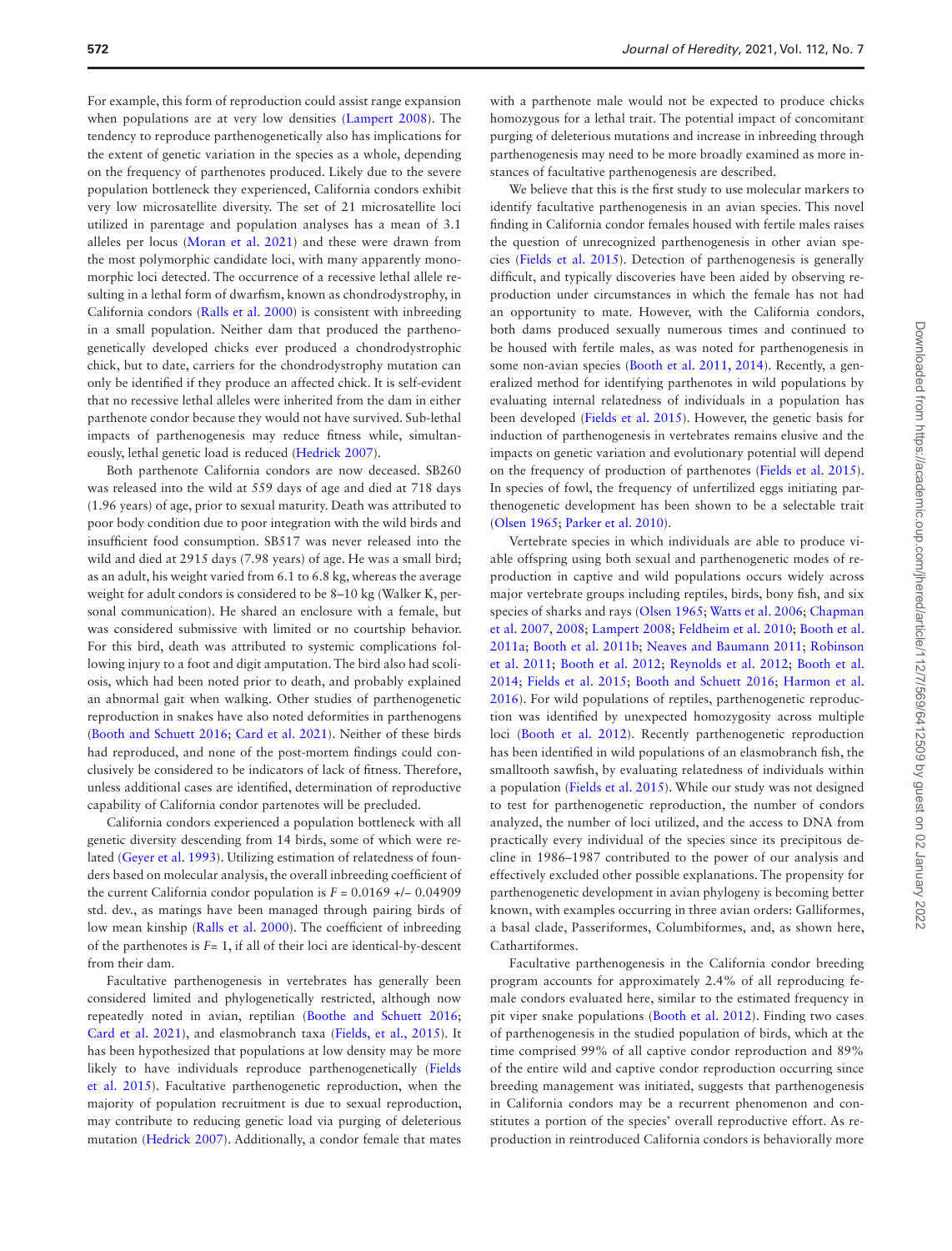For example, this form of reproduction could assist range expansion when populations are at very low densities ([Lampert 2008](#page-5-0)). The tendency to reproduce parthenogenetically also has implications for the extent of genetic variation in the species as a whole, depending on the frequency of parthenotes produced. Likely due to the severe population bottleneck they experienced, California condors exhibit very low microsatellite diversity. The set of 21 microsatellite loci utilized in parentage and population analyses has a mean of 3.1 alleles per locus [\(Moran et al. 2021](#page-5-12)) and these were drawn from the most polymorphic candidate loci, with many apparently monomorphic loci detected. The occurrence of a recessive lethal allele resulting in a lethal form of dwarfism, known as chondrodystrophy, in California condors ([Ralls et al. 2000](#page-5-19)) is consistent with inbreeding in a small population. Neither dam that produced the parthenogenetically developed chicks ever produced a chondrodystrophic chick, but to date, carriers for the chondrodystrophy mutation can only be identified if they produce an affected chick. It is self-evident that no recessive lethal alleles were inherited from the dam in either parthenote condor because they would not have survived. Sub-lethal impacts of parthenogenesis may reduce fitness while, simultaneously, lethal genetic load is reduced [\(Hedrick 2007\)](#page-5-20).

Both parthenote California condors are now deceased. SB260 was released into the wild at 559 days of age and died at 718 days (1.96 years) of age, prior to sexual maturity. Death was attributed to poor body condition due to poor integration with the wild birds and insufficient food consumption. SB517 was never released into the wild and died at 2915 days (7.98 years) of age. He was a small bird; as an adult, his weight varied from 6.1 to 6.8 kg, whereas the average weight for adult condors is considered to be 8–10 kg (Walker K, personal communication). He shared an enclosure with a female, but was considered submissive with limited or no courtship behavior. For this bird, death was attributed to systemic complications following injury to a foot and digit amputation. The bird also had scoliosis, which had been noted prior to death, and probably explained an abnormal gait when walking. Other studies of parthenogenetic reproduction in snakes have also noted deformities in parthenogens [\(Booth and Schuett 2016](#page-5-21); [Card et al. 2021](#page-5-17)). Neither of these birds had reproduced, and none of the post-mortem findings could conclusively be considered to be indicators of lack of fitness. Therefore, unless additional cases are identified, determination of reproductive capability of California condor partenotes will be precluded.

California condors experienced a population bottleneck with all genetic diversity descending from 14 birds, some of which were related [\(Geyer et al. 1993](#page-5-8)). Utilizing estimation of relatedness of founders based on molecular analysis, the overall inbreeding coefficient of the current California condor population is  $F = 0.0169 +/- 0.04909$ std. dev., as matings have been managed through pairing birds of low mean kinship ([Ralls et al. 2000\)](#page-5-19). The coefficient of inbreeding of the parthenotes is *F*= 1, if all of their loci are identical-by-descent from their dam.

Facultative parthenogenesis in vertebrates has generally been considered limited and phylogenetically restricted, although now repeatedly noted in avian, reptilian ([Boothe and Schuett 2016](#page-5-21); [Card et al. 2021\)](#page-5-17), and elasmobranch taxa ([Fields, et al., 2015\)](#page-5-3). It has been hypothesized that populations at low density may be more likely to have individuals reproduce parthenogenetically ([Fields](#page-5-3)  [et al. 2015\)](#page-5-3). Facultative parthenogenetic reproduction, when the majority of population recruitment is due to sexual reproduction, may contribute to reducing genetic load via purging of deleterious mutation [\(Hedrick 2007\)](#page-5-20). Additionally, a condor female that mates

with a parthenote male would not be expected to produce chicks homozygous for a lethal trait. The potential impact of concomitant purging of deleterious mutations and increase in inbreeding through parthenogenesis may need to be more broadly examined as more instances of facultative parthenogenesis are described.

We believe that this is the first study to use molecular markers to identify facultative parthenogenesis in an avian species. This novel finding in California condor females housed with fertile males raises the question of unrecognized parthenogenesis in other avian species [\(Fields et al. 2015](#page-5-3)). Detection of parthenogenesis is generally difficult, and typically discoveries have been aided by observing reproduction under circumstances in which the female has not had an opportunity to mate. However, with the California condors, both dams produced sexually numerous times and continued to be housed with fertile males, as was noted for parthenogenesis in some non-avian species ([Booth et al. 2011, 2014\)](#page-5-22). Recently, a generalized method for identifying parthenotes in wild populations by evaluating internal relatedness of individuals in a population has been developed ([Fields et al. 2015\)](#page-5-3). However, the genetic basis for induction of parthenogenesis in vertebrates remains elusive and the impacts on genetic variation and evolutionary potential will depend on the frequency of production of parthenotes [\(Fields et al. 2015](#page-5-3)). In species of fowl, the frequency of unfertilized eggs initiating parthenogenetic development has been shown to be a selectable trait [\(Olsen 1965](#page-5-5); [Parker et al. 2010](#page-5-23)).

Vertebrate species in which individuals are able to produce viable offspring using both sexual and parthenogenetic modes of reproduction in captive and wild populations occurs widely across major vertebrate groups including reptiles, birds, bony fish, and six species of sharks and rays ([Olsen 1965](#page-5-5); [Watts et al. 2006](#page-6-0); [Chapman](#page-5-24)  [et al. 2007,](#page-5-24) [2008;](#page-5-25) [Lampert 2008](#page-5-0); [Feldheim et al. 2010;](#page-5-26) [Booth et al.](#page-5-27)  [2011a;](#page-5-27) [Booth et al. 2011b;](#page-5-28) [Neaves and Baumann 2011](#page-5-1); [Robinson](#page-5-29)  [et al. 2011](#page-5-29); [Booth et al. 2012;](#page-5-2) [Reynolds et al. 2012](#page-5-30); [Booth et al.](#page-5-22)  [2014;](#page-5-22) [Fields et al. 2015](#page-5-3); [Booth and Schuett 2016;](#page-5-21) [Harmon et al.](#page-5-31)  [2016\)](#page-5-31). For wild populations of reptiles, parthenogenetic reproduction was identified by unexpected homozygosity across multiple loci [\(Booth et al. 2012](#page-5-2)). Recently parthenogenetic reproduction has been identified in wild populations of an elasmobranch fish, the smalltooth sawfish, by evaluating relatedness of individuals within a population [\(Fields et al. 2015\)](#page-5-3). While our study was not designed to test for parthenogenetic reproduction, the number of condors analyzed, the number of loci utilized, and the access to DNA from practically every individual of the species since its precipitous decline in 1986–1987 contributed to the power of our analysis and effectively excluded other possible explanations. The propensity for parthenogenetic development in avian phylogeny is becoming better known, with examples occurring in three avian orders: Galliformes, a basal clade, Passeriformes, Columbiformes, and, as shown here, Cathartiformes.

Facultative parthenogenesis in the California condor breeding program accounts for approximately 2.4% of all reproducing female condors evaluated here, similar to the estimated frequency in pit viper snake populations [\(Booth et al. 2012](#page-5-2)). Finding two cases of parthenogenesis in the studied population of birds, which at the time comprised 99% of all captive condor reproduction and 89% of the entire wild and captive condor reproduction occurring since breeding management was initiated, suggests that parthenogenesis in California condors may be a recurrent phenomenon and constitutes a portion of the species' overall reproductive effort. As reproduction in reintroduced California condors is behaviorally more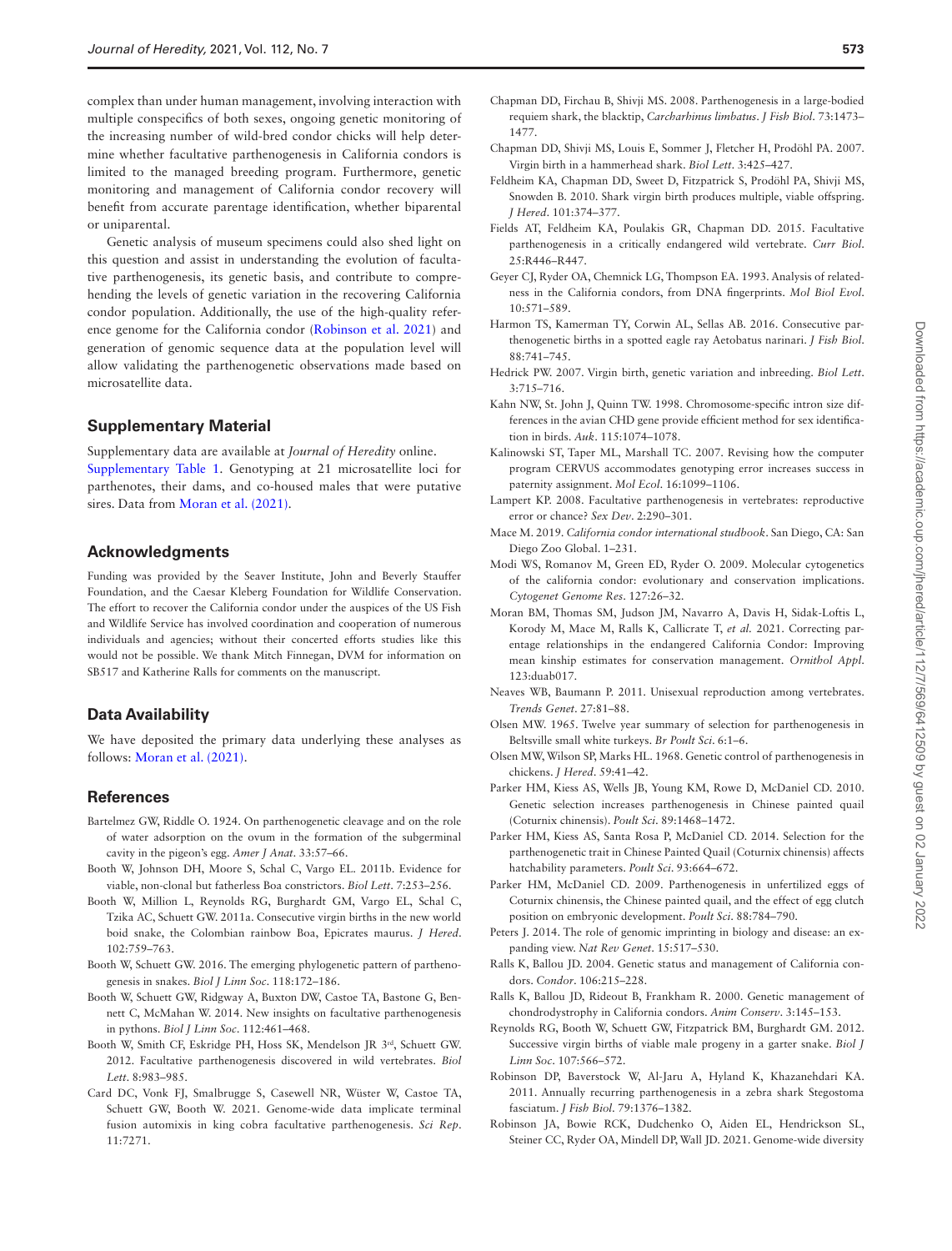complex than under human management, involving interaction with multiple conspecifics of both sexes, ongoing genetic monitoring of the increasing number of wild-bred condor chicks will help determine whether facultative parthenogenesis in California condors is limited to the managed breeding program. Furthermore, genetic monitoring and management of California condor recovery will benefit from accurate parentage identification, whether biparental or uniparental.

Genetic analysis of museum specimens could also shed light on this question and assist in understanding the evolution of facultative parthenogenesis, its genetic basis, and contribute to comprehending the levels of genetic variation in the recovering California condor population. Additionally, the use of the high-quality reference genome for the California condor [\(Robinson et al. 2021](#page-5-18)) and generation of genomic sequence data at the population level will allow validating the parthenogenetic observations made based on microsatellite data.

#### **Supplementary Material**

Supplementary data are available at *Journal of Heredity* online. [Supplementary Table 1](http://academic.oup.com/jhered/article-lookup/doi/10.1093/jhered/esab052#supplementary-data). Genotyping at 21 microsatellite loci for parthenotes, their dams, and co-housed males that were putative sires. Data from [Moran et al. \(2021\)](#page-5-12).

#### **Acknowledgments**

Funding was provided by the Seaver Institute, John and Beverly Stauffer Foundation, and the Caesar Kleberg Foundation for Wildlife Conservation. The effort to recover the California condor under the auspices of the US Fish and Wildlife Service has involved coordination and cooperation of numerous individuals and agencies; without their concerted efforts studies like this would not be possible. We thank Mitch Finnegan, DVM for information on SB517 and Katherine Ralls for comments on the manuscript.

#### **Data Availability**

We have deposited the primary data underlying these analyses as follows: [Moran et al. \(2021\).](#page-5-12)

#### **References**

- <span id="page-5-7"></span>Bartelmez GW, Riddle O. 1924. On parthenogenetic cleavage and on the role of water adsorption on the ovum in the formation of the subgerminal cavity in the pigeon's egg. *Amer J Anat*. 33:57–66.
- <span id="page-5-28"></span>Booth W, Johnson DH, Moore S, Schal C, Vargo EL. 2011b. Evidence for viable, non-clonal but fatherless Boa constrictors. *Biol Lett*. 7:253–256.
- <span id="page-5-27"></span>Booth W, Million L, Reynolds RG, Burghardt GM, Vargo EL, Schal C, Tzika AC, Schuett GW. 2011a. Consecutive virgin births in the new world boid snake, the Colombian rainbow Boa, Epicrates maurus. *J Hered*. 102:759–763.
- <span id="page-5-21"></span>Booth W, Schuett GW. 2016. The emerging phylogenetic pattern of parthenogenesis in snakes. *Biol J Linn Soc*. 118:172–186.
- <span id="page-5-22"></span>Booth W, Schuett GW, Ridgway A, Buxton DW, Castoe TA, Bastone G, Bennett C, McMahan W. 2014. New insights on facultative parthenogenesis in pythons. *Biol J Linn Soc*. 112:461–468.
- <span id="page-5-2"></span>Booth W, Smith CF, Eskridge PH, Hoss SK, Mendelson JR 3rd, Schuett GW. 2012. Facultative parthenogenesis discovered in wild vertebrates. *Biol Lett*. 8:983–985.
- <span id="page-5-17"></span>Card DC, Vonk FJ, Smalbrugge S, Casewell NR, Wüster W, Castoe TA, Schuett GW, Booth W. 2021. Genome-wide data implicate terminal fusion automixis in king cobra facultative parthenogenesis. *Sci Rep*. 11:7271.
- <span id="page-5-25"></span>Chapman DD, Firchau B, Shivji MS. 2008. Parthenogenesis in a large-bodied requiem shark, the blacktip, *Carcharhinus limbatus*. *J Fish Biol*. 73:1473– 1477.
- <span id="page-5-24"></span>Chapman DD, Shivji MS, Louis E, Sommer J, Fletcher H, Prodöhl PA. 2007. Virgin birth in a hammerhead shark. *Biol Lett*. 3:425–427.
- <span id="page-5-26"></span>Feldheim KA, Chapman DD, Sweet D, Fitzpatrick S, Prodöhl PA, Shivji MS, Snowden B. 2010. Shark virgin birth produces multiple, viable offspring. *J Hered*. 101:374–377.
- <span id="page-5-3"></span>Fields AT, Feldheim KA, Poulakis GR, Chapman DD. 2015. Facultative parthenogenesis in a critically endangered wild vertebrate. *Curr Biol*. 25:R446–R447.
- <span id="page-5-8"></span>Geyer CJ, Ryder OA, Chemnick LG, Thompson EA. 1993. Analysis of relatedness in the California condors, from DNA fingerprints. *Mol Biol Evol*. 10:571–589.
- <span id="page-5-31"></span>Harmon TS, Kamerman TY, Corwin AL, Sellas AB. 2016. Consecutive parthenogenetic births in a spotted eagle ray Aetobatus narinari. *J Fish Biol*. 88:741–745.
- <span id="page-5-20"></span>Hedrick PW. 2007. Virgin birth, genetic variation and inbreeding. *Biol Lett*. 3:715–716.
- <span id="page-5-14"></span>Kahn NW, St. John J, Quinn TW. 1998. Chromosome-specific intron size differences in the avian CHD gene provide efficient method for sex identification in birds. *Auk*. 115:1074–1078.
- <span id="page-5-13"></span>Kalinowski ST, Taper ML, Marshall TC. 2007. Revising how the computer program CERVUS accommodates genotyping error increases success in paternity assignment. *Mol Ecol*. 16:1099–1106.
- <span id="page-5-0"></span>Lampert KP. 2008. Facultative parthenogenesis in vertebrates: reproductive error or chance? *Sex Dev*. 2:290–301.
- <span id="page-5-10"></span>Mace M. 2019. *California condor international studbook*. San Diego, CA: San Diego Zoo Global. 1–231.
- <span id="page-5-11"></span>Modi WS, Romanov M, Green ED, Ryder O. 2009. Molecular cytogenetics of the california condor: evolutionary and conservation implications. *Cytogenet Genome Res*. 127:26–32.
- <span id="page-5-12"></span>Moran BM, Thomas SM, Judson JM, Navarro A, Davis H, Sidak-Loftis L, Korody M, Mace M, Ralls K, Callicrate T, *et al.* 2021. Correcting parentage relationships in the endangered California Condor: Improving mean kinship estimates for conservation management. *Ornithol Appl*. 123:duab017.
- <span id="page-5-1"></span>Neaves WB, Baumann P. 2011. Unisexual reproduction among vertebrates. *Trends Genet*. 27:81–88.
- <span id="page-5-5"></span>Olsen MW. 1965. Twelve year summary of selection for parthenogenesis in Beltsville small white turkeys. *Br Poult Sci*. 6:1–6.
- <span id="page-5-6"></span>Olsen MW, Wilson SP, Marks HL. 1968. Genetic control of parthenogenesis in chickens. *J Hered*. 59:41–42.
- <span id="page-5-23"></span>Parker HM, Kiess AS, Wells JB, Young KM, Rowe D, McDaniel CD. 2010. Genetic selection increases parthenogenesis in Chinese painted quail (Coturnix chinensis). *Poult Sci*. 89:1468–1472.
- <span id="page-5-15"></span>Parker HM, Kiess AS, Santa Rosa P, McDaniel CD. 2014. Selection for the parthenogenetic trait in Chinese Painted Quail (Coturnix chinensis) affects hatchability parameters. *Poult Sci*. 93:664–672.
- <span id="page-5-16"></span>Parker HM, McDaniel CD. 2009. Parthenogenesis in unfertilized eggs of Coturnix chinensis, the Chinese painted quail, and the effect of egg clutch position on embryonic development. *Poult Sci*. 88:784–790.
- <span id="page-5-4"></span>Peters J. 2014. The role of genomic imprinting in biology and disease: an expanding view. *Nat Rev Genet*. 15:517–530.
- <span id="page-5-9"></span>Ralls K, Ballou JD. 2004. Genetic status and management of California condors. *Condor*. 106:215–228.
- <span id="page-5-19"></span>Ralls K, Ballou JD, Rideout B, Frankham R. 2000. Genetic management of chondrodystrophy in California condors. *Anim Conserv*. 3:145–153.
- <span id="page-5-30"></span>Reynolds RG, Booth W, Schuett GW, Fitzpatrick BM, Burghardt GM. 2012. Successive virgin births of viable male progeny in a garter snake. *Biol J Linn Soc*. 107:566–572.
- <span id="page-5-29"></span>Robinson DP, Baverstock W, Al-Jaru A, Hyland K, Khazanehdari KA. 2011. Annually recurring parthenogenesis in a zebra shark Stegostoma fasciatum. *J Fish Biol*. 79:1376–1382.
- <span id="page-5-18"></span>Robinson JA, Bowie RCK, Dudchenko O, Aiden EL, Hendrickson SL, Steiner CC, Ryder OA, Mindell DP, Wall JD. 2021. Genome-wide diversity